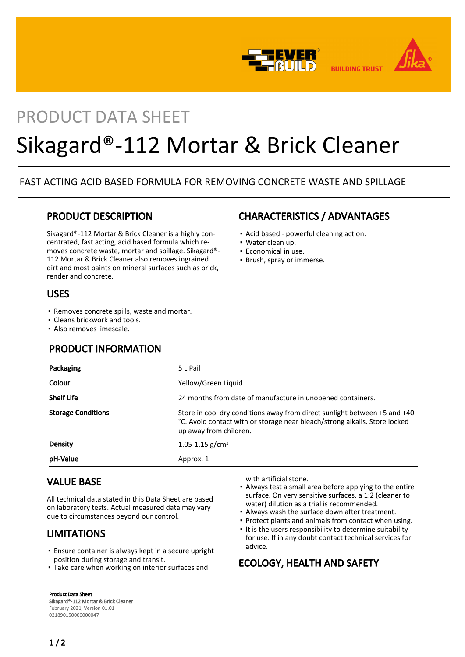

# PRODUCT DATA SHEFT

# Sikagard®-112 Mortar & Brick Cleaner

#### FAST ACTING ACID BASED FORMULA FOR REMOVING CONCRETE WASTE AND SPILLAGE

#### PRODUCT DESCRIPTION

Sikagard®-112 Mortar & Brick Cleaner is a highly concentrated, fast acting, acid based formula which removes concrete waste, mortar and spillage. Sikagard®- 112 Mortar & Brick Cleaner also removes ingrained dirt and most paints on mineral surfaces such as brick, render and concrete.

#### USES

- Removes concrete spills, waste and mortar.
- Cleans brickwork and tools.
- Also removes limescale.

#### PRODUCT INFORMATION

### CHARACTERISTICS / ADVANTAGES

- Acid based powerful cleaning action.
- Water clean up.
- Economical in use.
- Brush, spray or immerse.

| Packaging                 | 5 L Pail                                                                                                                                                                          |
|---------------------------|-----------------------------------------------------------------------------------------------------------------------------------------------------------------------------------|
| Colour                    | Yellow/Green Liguid                                                                                                                                                               |
| <b>Shelf Life</b>         | 24 months from date of manufacture in unopened containers.                                                                                                                        |
| <b>Storage Conditions</b> | Store in cool dry conditions away from direct sunlight between +5 and +40<br>°C. Avoid contact with or storage near bleach/strong alkalis. Store locked<br>up away from children. |
| Density                   | 1.05-1.15 g/cm <sup>3</sup>                                                                                                                                                       |
| pH-Value                  | Approx. 1                                                                                                                                                                         |

#### VALUE BASE

All technical data stated in this Data Sheet are based on laboratory tests. Actual measured data may vary due to circumstances beyond our control.

#### LIMITATIONS

- **Ensure container is always kept in a secure upright** position during storage and transit.
- **Take care when working on interior surfaces and**

with artificial stone.

- Always test a small area before applying to the entire surface. On very sensitive surfaces, a 1:2 (cleaner to water) dilution as a trial is recommended.
- Always wash the surface down after treatment.
- Protect plants and animals from contact when using.
- It is the users responsibility to determine suitability for use. If in any doubt contact technical services for advice.

#### ECOLOGY, HEALTH AND SAFETY

Product Data Sheet Sikagard®-112 Mortar & Brick Cleaner February 2021, Version 01.01 021890150000000047